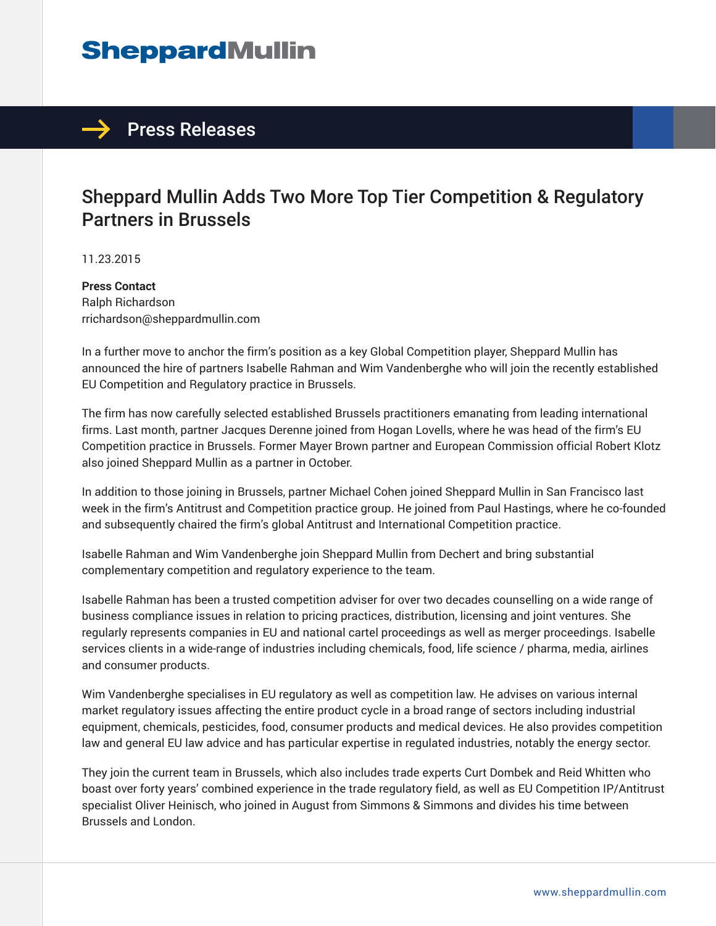## **SheppardMullin**



## Sheppard Mullin Adds Two More Top Tier Competition & Regulatory Partners in Brussels

11.23.2015

**Press Contact** Ralph Richardson rrichardson@sheppardmullin.com

In a further move to anchor the firm's position as a key Global Competition player, Sheppard Mullin has announced the hire of partners Isabelle Rahman and Wim Vandenberghe who will join the recently established EU Competition and Regulatory practice in Brussels.

The firm has now carefully selected established Brussels practitioners emanating from leading international firms. Last month, partner Jacques Derenne joined from Hogan Lovells, where he was head of the firm's EU Competition practice in Brussels. Former Mayer Brown partner and European Commission official Robert Klotz also joined Sheppard Mullin as a partner in October.

In addition to those joining in Brussels, partner Michael Cohen joined Sheppard Mullin in San Francisco last week in the firm's Antitrust and Competition practice group. He joined from Paul Hastings, where he co-founded and subsequently chaired the firm's global Antitrust and International Competition practice.

Isabelle Rahman and Wim Vandenberghe join Sheppard Mullin from Dechert and bring substantial complementary competition and regulatory experience to the team.

Isabelle Rahman has been a trusted competition adviser for over two decades counselling on a wide range of business compliance issues in relation to pricing practices, distribution, licensing and joint ventures. She regularly represents companies in EU and national cartel proceedings as well as merger proceedings. Isabelle services clients in a wide-range of industries including chemicals, food, life science / pharma, media, airlines and consumer products.

Wim Vandenberghe specialises in EU regulatory as well as competition law. He advises on various internal market regulatory issues affecting the entire product cycle in a broad range of sectors including industrial equipment, chemicals, pesticides, food, consumer products and medical devices. He also provides competition law and general EU law advice and has particular expertise in regulated industries, notably the energy sector.

They join the current team in Brussels, which also includes trade experts Curt Dombek and Reid Whitten who boast over forty years' combined experience in the trade regulatory field, as well as EU Competition IP/Antitrust specialist Oliver Heinisch, who joined in August from Simmons & Simmons and divides his time between Brussels and London.